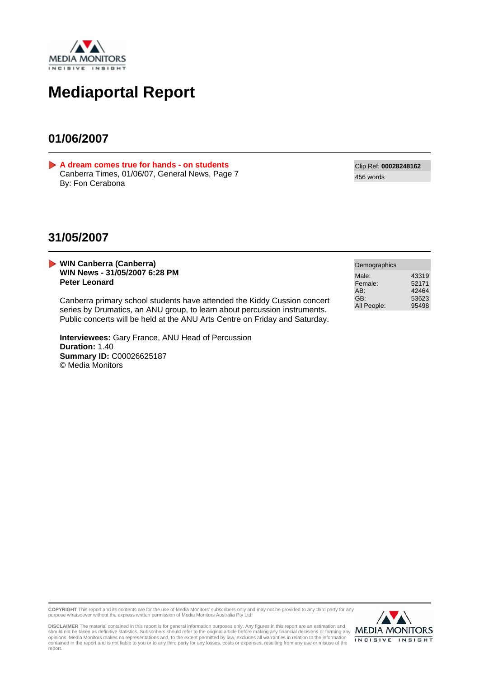

## **Mediaportal Report**

## **01/06/2007**

<span id="page-0-0"></span>**[A dream comes true for hands - on students](#page-1-0)** Canberra Times, 01/06/07, General News, Page 7 By: Fon Cerabona

Clip Ref: **00028248162** 456 words

## **31/05/2007**

**WIN Canberra (Canberra) WIN News - 31/05/2007 6:28 PM Peter Leonard**

Canberra primary school students have attended the Kiddy Cussion concert series by Drumatics, an ANU group, to learn about percussion instruments. Public concerts will be held at the ANU Arts Centre on Friday and Saturday.

**Interviewees:** Gary France, ANU Head of Percussion **Duration:** 1.40 **Summary ID:** C00026625187 © Media Monitors

| Demographics                                  |                                           |
|-----------------------------------------------|-------------------------------------------|
| Male:<br>Female:<br>AB:<br>GB:<br>All People: | 43319<br>52171<br>42464<br>53623<br>95498 |
|                                               |                                           |

**COPYRIGHT** This report and its contents are for the use of Media Monitors' subscribers only and may not be provided to any third party for any purpose whatsoever without the express written permission of Media Monitors Australia Pty Ltd.



DISCLAIMER The material contained in this report is for general information purposes only. Any figures in this report are an estimation and<br>should not be taken as definitive statistics. Subscribers should refer to the orig report.